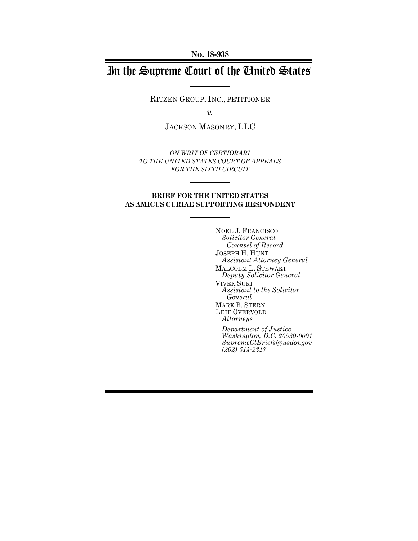**No. 18-938**

# In the Supreme Court of the United States

RITZEN GROUP, INC., PETITIONER

*v.*

JACKSON MASONRY, LLC

*ON WRIT OF CERTIORARI TO THE UNITED STATES COURT OF APPEALS FOR THE SIXTH CIRCUIT*

## **BRIEF FOR THE UNITED STATES AS AMICUS CURIAE SUPPORTING RESPONDENT**

NOEL J. FRANCISCO *Solicitor General Counsel of Record* JOSEPH H. HUNT *Assistant Attorney General* MALCOLM L. STEWART *Deputy Solicitor General* VIVEK SURI *Assistant to the Solicitor General* MARK B. STERN LEIF OVERVOLD *Attorneys Department of Justice*

*Washington, D.C. 20530-0001 SupremeCtBriefs@usdoj.gov (202) 514-2217*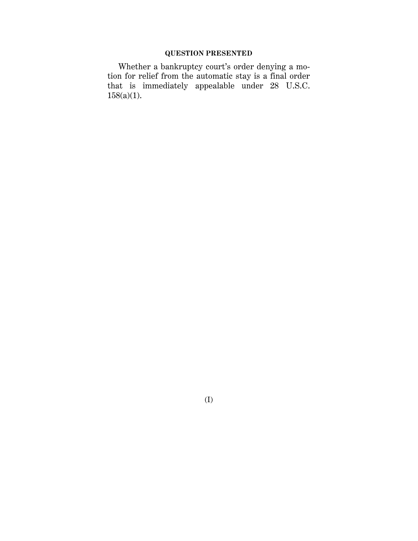# **QUESTION PRESENTED**

Whether a bankruptcy court's order denying a motion for relief from the automatic stay is a final order that is immediately appealable under 28 U.S.C. 158(a)(1).

(I)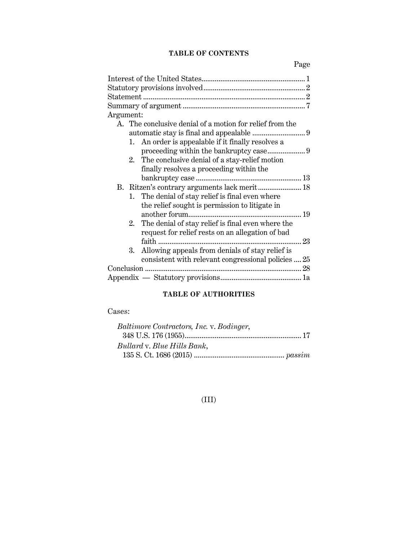# **TABLE OF CONTENTS**

Page

# **TABLE OF AUTHORITIES**

# Cases:

| Baltimore Contractors, Inc. v. Bodinger, |  |
|------------------------------------------|--|
|                                          |  |
| Bullard v. Blue Hills Bank,              |  |
|                                          |  |

# (III)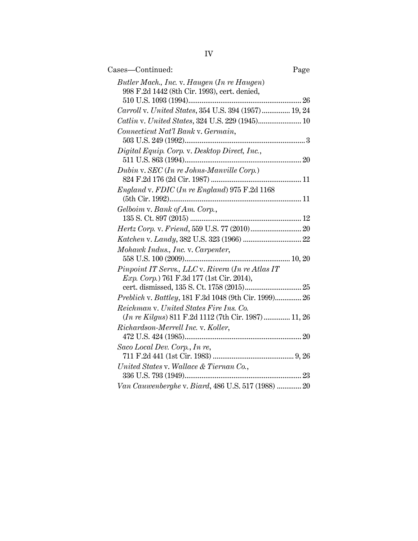| Cases—Continued:                                                                                       | Page |
|--------------------------------------------------------------------------------------------------------|------|
| Butler Mach., Inc. v. Haugen (In re Haugen)<br>998 F.2d 1442 (8th Cir. 1993), cert. denied,            |      |
| Carroll v. United States, 354 U.S. 394 (1957) 19, 24                                                   |      |
| Catlin v. United States, 324 U.S. 229 (1945) 10                                                        |      |
| Connecticut Nat'l Bank v. Germain,                                                                     |      |
|                                                                                                        |      |
| Digital Equip. Corp. v. Desktop Direct, Inc.,                                                          |      |
| Dubin v. SEC (In re Johns-Manville Corp.)                                                              |      |
|                                                                                                        |      |
| <i>England v. FDIC</i> (In re England) 975 F.2d 1168                                                   |      |
| Gelboim v. Bank of Am. Corp.,                                                                          |      |
|                                                                                                        |      |
|                                                                                                        |      |
| Mohawk Indus., Inc. v. Carpenter,                                                                      |      |
| Pinpoint IT Servs., LLC v. Rivera (In re Atlas IT<br><i>Exp. Corp.</i> ) 761 F.3d 177 (1st Cir. 2014), |      |
|                                                                                                        |      |
| Preblich v. Battley, 181 F.3d 1048 (9th Cir. 1999) 26                                                  |      |
| Reichman v. United States Fire Ins. Co.<br>(In re Kilgus) 811 F.2d 1112 (7th Cir. 1987) 11, 26         |      |
| Richardson-Merrell Inc. v. Koller,                                                                     |      |
| Saco Local Dev. Corp., In re,                                                                          |      |
|                                                                                                        |      |
| United States v. Wallace & Tiernan Co.,                                                                |      |
|                                                                                                        |      |
| Van Cauwenberghe v. Biard, 486 U.S. 517 (1988)  20                                                     |      |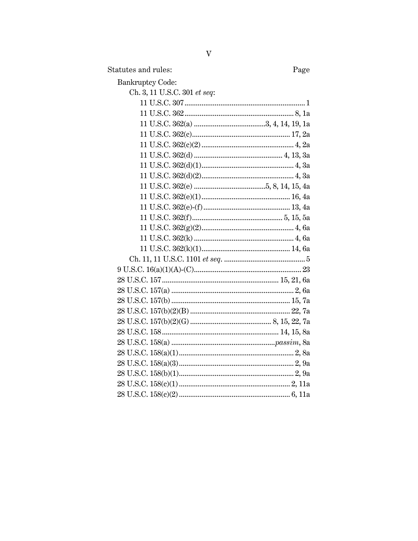Statutes and rules:

Page

| <b>Bankruptcy Code:</b>      |
|------------------------------|
| Ch. 3, 11 U.S.C. 301 et seq: |
|                              |
|                              |
|                              |
|                              |
|                              |
|                              |
|                              |
|                              |
|                              |
|                              |
|                              |
|                              |
|                              |
|                              |
|                              |
|                              |
|                              |
|                              |
|                              |
|                              |
|                              |
|                              |
|                              |
|                              |
|                              |
|                              |
|                              |
|                              |
|                              |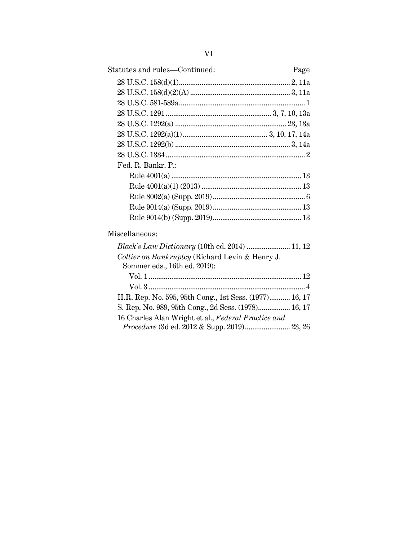| Statutes and rules—Continued: | Page |
|-------------------------------|------|
|                               |      |
|                               |      |
|                               |      |
|                               |      |
|                               |      |
|                               |      |
|                               |      |
|                               |      |
| Fed. R. Bankr. P.:            |      |
|                               |      |
|                               |      |
|                               |      |
|                               |      |
|                               |      |
| Miscellaneous:                |      |

#### Miscellaneous:

| <i>Black's Law Dictionary</i> (10th ed. 2014)  11, 12                                              |  |
|----------------------------------------------------------------------------------------------------|--|
| Collier on Bankruptcy (Richard Levin & Henry J.                                                    |  |
| Sommer eds., 16th ed. 2019):                                                                       |  |
|                                                                                                    |  |
|                                                                                                    |  |
| H.R. Rep. No. 595, 95th Cong., 1st Sess. (1977) 16, 17                                             |  |
| S. Rep. No. 989, 95th Cong., 2d Sess. (1978) 16, 17                                                |  |
| 16 Charles Alan Wright et al., Federal Practice and<br>Procedure (3d ed. 2012 & Supp. 2019) 23, 26 |  |
|                                                                                                    |  |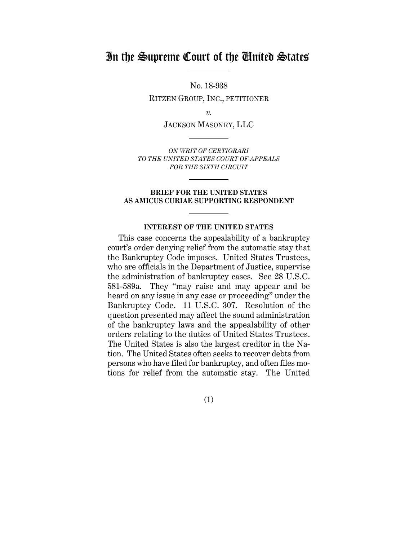# In the Supreme Court of the United States

No. 18-938 RITZEN GROUP, INC., PETITIONER

*v.*

JACKSON MASONRY, LLC

*ON WRIT OF CERTIORARI TO THE UNITED STATES COURT OF APPEALS FOR THE SIXTH CIRCUIT*

#### **BRIEF FOR THE UNITED STATES AS AMICUS CURIAE SUPPORTING RESPONDENT**

#### **INTEREST OF THE UNITED STATES**

This case concerns the appealability of a bankruptcy court's order denying relief from the automatic stay that the Bankruptcy Code imposes. United States Trustees, who are officials in the Department of Justice, supervise the administration of bankruptcy cases. See 28 U.S.C. 581-589a. They "may raise and may appear and be heard on any issue in any case or proceeding" under the Bankruptcy Code. 11 U.S.C. 307. Resolution of the question presented may affect the sound administration of the bankruptcy laws and the appealability of other orders relating to the duties of United States Trustees. The United States is also the largest creditor in the Nation. The United States often seeks to recover debts from persons who have filed for bankruptcy, and often files motions for relief from the automatic stay. The United

(1)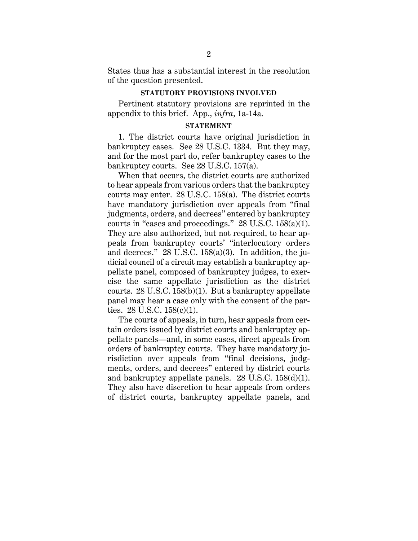States thus has a substantial interest in the resolution of the question presented.

#### **STATUTORY PROVISIONS INVOLVED**

Pertinent statutory provisions are reprinted in the appendix to this brief. App., *infra*, 1a-14a.

## **STATEMENT**

1. The district courts have original jurisdiction in bankruptcy cases. See 28 U.S.C. 1334. But they may, and for the most part do, refer bankruptcy cases to the bankruptcy courts. See 28 U.S.C. 157(a).

When that occurs, the district courts are authorized to hear appeals from various orders that the bankruptcy courts may enter. 28 U.S.C. 158(a). The district courts have mandatory jurisdiction over appeals from "final judgments, orders, and decrees" entered by bankruptcy courts in "cases and proceedings." 28 U.S.C. 158(a)(1). They are also authorized, but not required, to hear appeals from bankruptcy courts' "interlocutory orders and decrees." 28 U.S.C. 158(a)(3). In addition, the judicial council of a circuit may establish a bankruptcy appellate panel, composed of bankruptcy judges, to exercise the same appellate jurisdiction as the district courts. 28 U.S.C. 158(b)(1). But a bankruptcy appellate panel may hear a case only with the consent of the parties. 28 U.S.C. 158(c)(1).

The courts of appeals, in turn, hear appeals from certain orders issued by district courts and bankruptcy appellate panels—and, in some cases, direct appeals from orders of bankruptcy courts. They have mandatory jurisdiction over appeals from "final decisions, judgments, orders, and decrees" entered by district courts and bankruptcy appellate panels. 28 U.S.C. 158(d)(1). They also have discretion to hear appeals from orders of district courts, bankruptcy appellate panels, and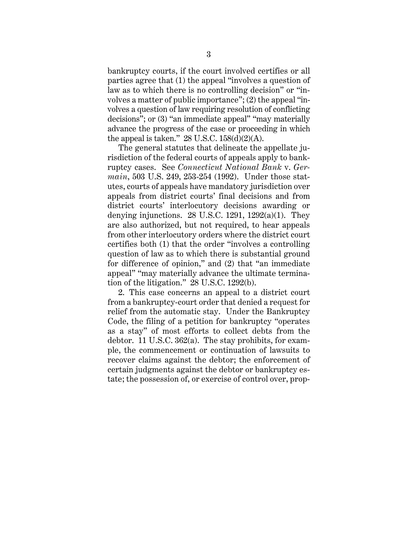bankruptcy courts, if the court involved certifies or all parties agree that (1) the appeal "involves a question of law as to which there is no controlling decision" or "involves a matter of public importance"; (2) the appeal "involves a question of law requiring resolution of conflicting decisions"; or (3) "an immediate appeal" "may materially advance the progress of the case or proceeding in which the appeal is taken."  $28$  U.S.C.  $158(d)(2)(A)$ .

The general statutes that delineate the appellate jurisdiction of the federal courts of appeals apply to bankruptcy cases. See *Connecticut National Bank* v. *Germain*, 503 U.S. 249, 253-254 (1992). Under those statutes, courts of appeals have mandatory jurisdiction over appeals from district courts' final decisions and from district courts' interlocutory decisions awarding or denying injunctions.  $28 \text{ U.S.C. } 1291, 1292(a)(1)$ . They are also authorized, but not required, to hear appeals from other interlocutory orders where the district court certifies both (1) that the order "involves a controlling question of law as to which there is substantial ground for difference of opinion," and (2) that "an immediate appeal" "may materially advance the ultimate termination of the litigation." 28 U.S.C. 1292(b).

2. This case concerns an appeal to a district court from a bankruptcy-court order that denied a request for relief from the automatic stay. Under the Bankruptcy Code, the filing of a petition for bankruptcy "operates as a stay" of most efforts to collect debts from the debtor. 11 U.S.C. 362(a). The stay prohibits, for example, the commencement or continuation of lawsuits to recover claims against the debtor; the enforcement of certain judgments against the debtor or bankruptcy estate; the possession of, or exercise of control over, prop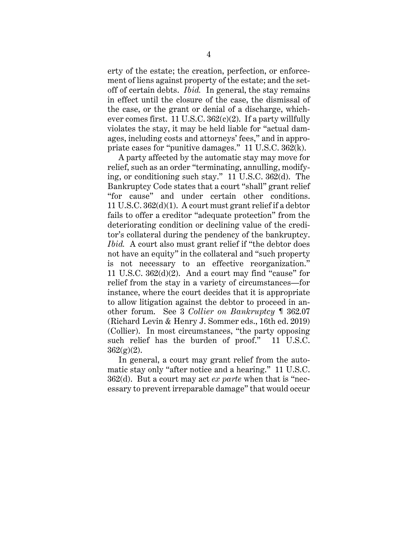erty of the estate; the creation, perfection, or enforcement of liens against property of the estate; and the setoff of certain debts. *Ibid.* In general, the stay remains in effect until the closure of the case, the dismissal of the case, or the grant or denial of a discharge, whichever comes first. 11 U.S.C.  $362(c)(2)$ . If a party willfully violates the stay, it may be held liable for "actual damages, including costs and attorneys' fees," and in appropriate cases for "punitive damages." 11 U.S.C. 362(k).

A party affected by the automatic stay may move for relief, such as an order "terminating, annulling, modifying, or conditioning such stay." 11 U.S.C. 362(d). The Bankruptcy Code states that a court "shall" grant relief "for cause" and under certain other conditions. 11 U.S.C. 362(d)(1). A court must grant relief if a debtor fails to offer a creditor "adequate protection" from the deteriorating condition or declining value of the creditor's collateral during the pendency of the bankruptcy. *Ibid.* A court also must grant relief if "the debtor does not have an equity" in the collateral and "such property is not necessary to an effective reorganization." 11 U.S.C. 362(d)(2). And a court may find "cause" for relief from the stay in a variety of circumstances—for instance, where the court decides that it is appropriate to allow litigation against the debtor to proceed in another forum. See 3 *Collier on Bankruptcy* ¶ 362.07 (Richard Levin & Henry J. Sommer eds., 16th ed. 2019) (Collier). In most circumstances, "the party opposing such relief has the burden of proof." 11 U.S.C.  $362(g)(2)$ .

In general, a court may grant relief from the automatic stay only "after notice and a hearing." 11 U.S.C. 362(d). But a court may act *ex parte* when that is "necessary to prevent irreparable damage" that would occur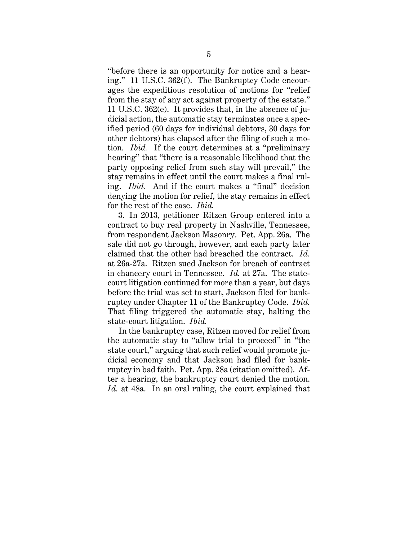"before there is an opportunity for notice and a hearing." 11 U.S.C. 362(f). The Bankruptcy Code encourages the expeditious resolution of motions for "relief from the stay of any act against property of the estate." 11 U.S.C. 362(e). It provides that, in the absence of judicial action, the automatic stay terminates once a specified period (60 days for individual debtors, 30 days for other debtors) has elapsed after the filing of such a motion. *Ibid.* If the court determines at a "preliminary hearing" that "there is a reasonable likelihood that the party opposing relief from such stay will prevail," the stay remains in effect until the court makes a final ruling. *Ibid.* And if the court makes a "final" decision denying the motion for relief, the stay remains in effect for the rest of the case. *Ibid.*

3. In 2013, petitioner Ritzen Group entered into a contract to buy real property in Nashville, Tennessee, from respondent Jackson Masonry. Pet. App. 26a. The sale did not go through, however, and each party later claimed that the other had breached the contract. *Id.* at 26a-27a. Ritzen sued Jackson for breach of contract in chancery court in Tennessee. *Id.* at 27a. The statecourt litigation continued for more than a year, but days before the trial was set to start, Jackson filed for bankruptcy under Chapter 11 of the Bankruptcy Code. *Ibid.*  That filing triggered the automatic stay, halting the state-court litigation. *Ibid.*

In the bankruptcy case, Ritzen moved for relief from the automatic stay to "allow trial to proceed" in "the state court," arguing that such relief would promote judicial economy and that Jackson had filed for bankruptcy in bad faith. Pet. App. 28a (citation omitted). After a hearing, the bankruptcy court denied the motion. *Id.* at 48a. In an oral ruling, the court explained that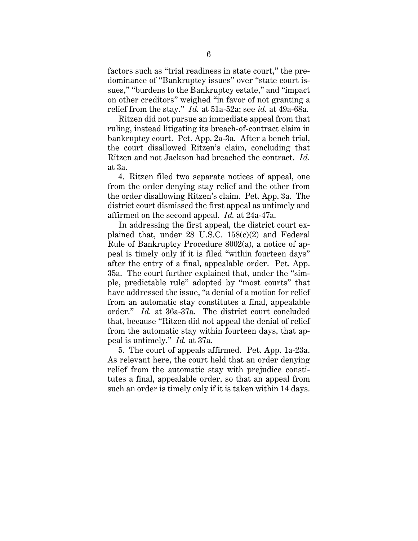factors such as "trial readiness in state court," the predominance of "Bankruptcy issues" over "state court issues," "burdens to the Bankruptcy estate," and "impact on other creditors" weighed "in favor of not granting a relief from the stay." *Id.* at 51a-52a; see *id.* at 49a-68a.

Ritzen did not pursue an immediate appeal from that ruling, instead litigating its breach-of-contract claim in bankruptcy court. Pet. App. 2a-3a. After a bench trial, the court disallowed Ritzen's claim, concluding that Ritzen and not Jackson had breached the contract. *Id.* at 3a.

4. Ritzen filed two separate notices of appeal, one from the order denying stay relief and the other from the order disallowing Ritzen's claim. Pet. App. 3a. The district court dismissed the first appeal as untimely and affirmed on the second appeal. *Id.* at 24a-47a.

In addressing the first appeal, the district court explained that, under 28 U.S.C. 158(c)(2) and Federal Rule of Bankruptcy Procedure 8002(a), a notice of appeal is timely only if it is filed "within fourteen days" after the entry of a final, appealable order. Pet. App. 35a. The court further explained that, under the "simple, predictable rule" adopted by "most courts" that have addressed the issue, "a denial of a motion for relief from an automatic stay constitutes a final, appealable order." *Id.* at 36a-37a. The district court concluded that, because "Ritzen did not appeal the denial of relief from the automatic stay within fourteen days, that appeal is untimely." *Id.* at 37a.

5. The court of appeals affirmed. Pet. App. 1a-23a. As relevant here, the court held that an order denying relief from the automatic stay with prejudice constitutes a final, appealable order, so that an appeal from such an order is timely only if it is taken within 14 days.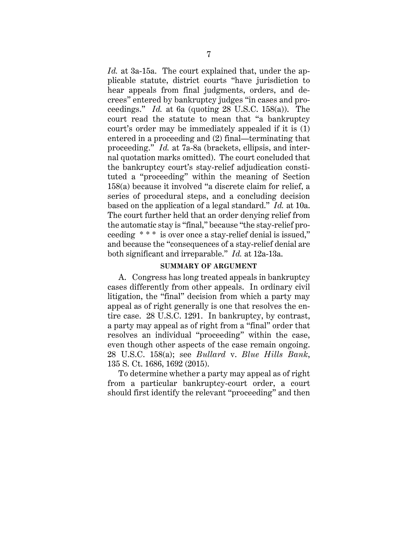*Id.* at 3a-15a. The court explained that, under the applicable statute, district courts "have jurisdiction to hear appeals from final judgments, orders, and decrees" entered by bankruptcy judges "in cases and proceedings." *Id.* at 6a (quoting 28 U.S.C. 158(a)). The court read the statute to mean that "a bankruptcy court's order may be immediately appealed if it is (1) entered in a proceeding and (2) final—terminating that proceeding." *Id.* at 7a-8a (brackets, ellipsis, and internal quotation marks omitted). The court concluded that the bankruptcy court's stay-relief adjudication constituted a "proceeding" within the meaning of Section 158(a) because it involved "a discrete claim for relief, a series of procedural steps, and a concluding decision based on the application of a legal standard." *Id.* at 10a. The court further held that an order denying relief from the automatic stay is "final," because "the stay-relief proceeding \* \* \* is over once a stay-relief denial is issued," and because the "consequences of a stay-relief denial are both significant and irreparable." *Id.* at 12a-13a.

#### **SUMMARY OF ARGUMENT**

A. Congress has long treated appeals in bankruptcy cases differently from other appeals. In ordinary civil litigation, the "final" decision from which a party may appeal as of right generally is one that resolves the entire case. 28 U.S.C. 1291. In bankruptcy, by contrast, a party may appeal as of right from a "final" order that resolves an individual "proceeding" within the case, even though other aspects of the case remain ongoing. 28 U.S.C. 158(a); see *Bullard* v. *Blue Hills Bank*, 135 S. Ct. 1686, 1692 (2015).

To determine whether a party may appeal as of right from a particular bankruptcy-court order, a court should first identify the relevant "proceeding" and then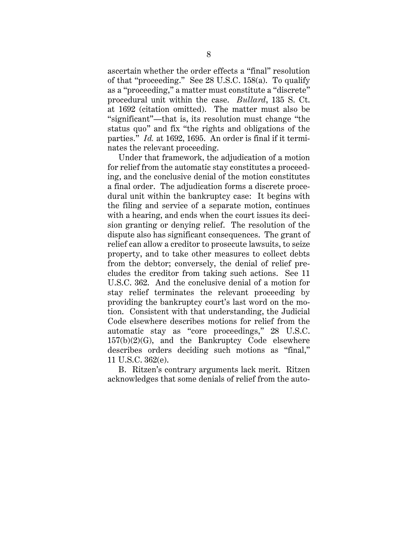ascertain whether the order effects a "final" resolution of that "proceeding." See 28 U.S.C. 158(a). To qualify as a "proceeding," a matter must constitute a "discrete" procedural unit within the case. *Bullard*, 135 S. Ct. at 1692 (citation omitted). The matter must also be "significant"—that is, its resolution must change "the status quo" and fix "the rights and obligations of the parties." *Id.* at 1692, 1695. An order is final if it terminates the relevant proceeding.

Under that framework, the adjudication of a motion for relief from the automatic stay constitutes a proceeding, and the conclusive denial of the motion constitutes a final order. The adjudication forms a discrete procedural unit within the bankruptcy case: It begins with the filing and service of a separate motion, continues with a hearing, and ends when the court issues its decision granting or denying relief. The resolution of the dispute also has significant consequences. The grant of relief can allow a creditor to prosecute lawsuits, to seize property, and to take other measures to collect debts from the debtor; conversely, the denial of relief precludes the creditor from taking such actions. See 11 U.S.C. 362. And the conclusive denial of a motion for stay relief terminates the relevant proceeding by providing the bankruptcy court's last word on the motion. Consistent with that understanding, the Judicial Code elsewhere describes motions for relief from the automatic stay as "core proceedings," 28 U.S.C.  $157(b)(2)(G)$ , and the Bankruptcy Code elsewhere describes orders deciding such motions as "final," 11 U.S.C. 362(e).

B. Ritzen's contrary arguments lack merit. Ritzen acknowledges that some denials of relief from the auto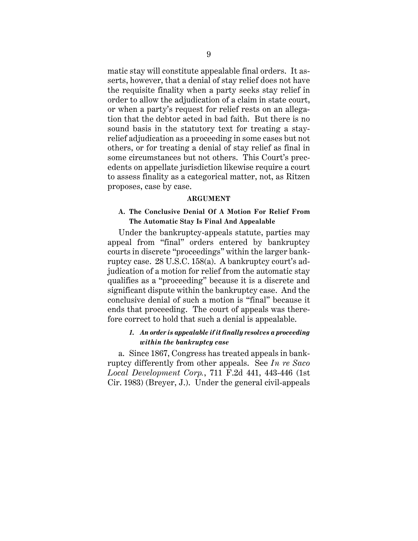matic stay will constitute appealable final orders. It asserts, however, that a denial of stay relief does not have the requisite finality when a party seeks stay relief in order to allow the adjudication of a claim in state court, or when a party's request for relief rests on an allegation that the debtor acted in bad faith. But there is no sound basis in the statutory text for treating a stayrelief adjudication as a proceeding in some cases but not others, or for treating a denial of stay relief as final in some circumstances but not others. This Court's precedents on appellate jurisdiction likewise require a court to assess finality as a categorical matter, not, as Ritzen proposes, case by case.

#### **ARGUMENT**

## **A. The Conclusive Denial Of A Motion For Relief From The Automatic Stay Is Final And Appealable**

Under the bankruptcy-appeals statute, parties may appeal from "final" orders entered by bankruptcy courts in discrete "proceedings" within the larger bankruptcy case. 28 U.S.C. 158(a). A bankruptcy court's adjudication of a motion for relief from the automatic stay qualifies as a "proceeding" because it is a discrete and significant dispute within the bankruptcy case. And the conclusive denial of such a motion is "final" because it ends that proceeding. The court of appeals was therefore correct to hold that such a denial is appealable.

# *1. An order is appealable if it finally resolves a proceeding within the bankruptcy case*

a. Since 1867, Congress has treated appeals in bankruptcy differently from other appeals. See *In re Saco Local Development Corp.*, 711 F.2d 441, 443-446 (1st Cir. 1983) (Breyer, J.). Under the general civil-appeals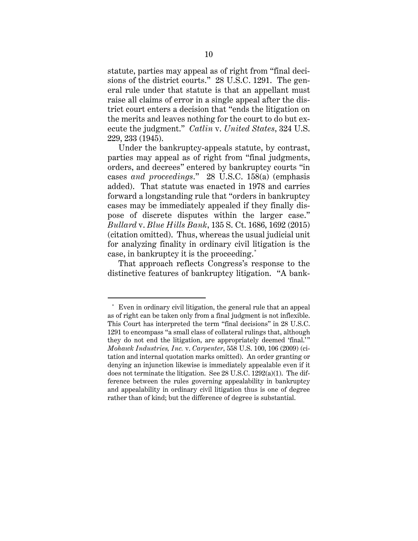statute, parties may appeal as of right from "final decisions of the district courts." 28 U.S.C. 1291. The general rule under that statute is that an appellant must raise all claims of error in a single appeal after the district court enters a decision that "ends the litigation on the merits and leaves nothing for the court to do but execute the judgment." *Catlin* v. *United States*, 324 U.S. 229, 233 (1945).

Under the bankruptcy-appeals statute, by contrast, parties may appeal as of right from "final judgments, orders, and decrees" entered by bankruptcy courts "in cases *and proceedings*." 28 U.S.C. 158(a) (emphasis added). That statute was enacted in 1978 and carries forward a longstanding rule that "orders in bankruptcy cases may be immediately appealed if they finally dispose of discrete disputes within the larger case." *Bullard* v. *Blue Hills Bank*, 135 S. Ct. 1686, 1692 (2015) (citation omitted). Thus, whereas the usual judicial unit for analyzing finality in ordinary civil litigation is the case, in bankruptcy it is the proceeding.\*

That approach reflects Congress's response to the distinctive features of bankruptcy litigation. "A bank-

 $\overline{a}$ 

<sup>\*</sup> Even in ordinary civil litigation, the general rule that an appeal as of right can be taken only from a final judgment is not inflexible. This Court has interpreted the term "final decisions" in 28 U.S.C. 1291 to encompass "a small class of collateral rulings that, although they do not end the litigation, are appropriately deemed 'final.'" *Mohawk Industries, Inc.* v. *Carpenter*, 558 U.S. 100, 106 (2009) (citation and internal quotation marks omitted). An order granting or denying an injunction likewise is immediately appealable even if it does not terminate the litigation. See 28 U.S.C. 1292(a)(1). The difference between the rules governing appealability in bankruptcy and appealability in ordinary civil litigation thus is one of degree rather than of kind; but the difference of degree is substantial.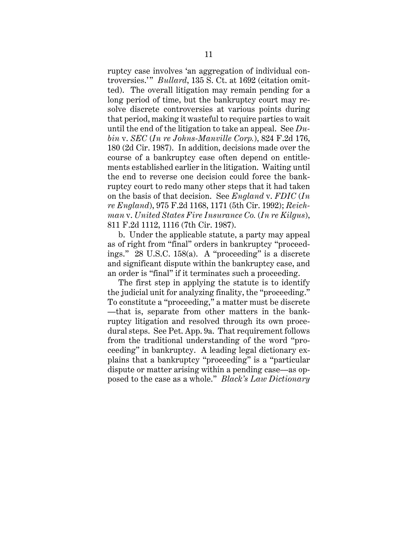ruptcy case involves 'an aggregation of individual controversies.'" *Bullard*, 135 S. Ct. at 1692 (citation omitted). The overall litigation may remain pending for a long period of time, but the bankruptcy court may resolve discrete controversies at various points during that period, making it wasteful to require parties to wait until the end of the litigation to take an appeal. See *Dubin* v. *SEC* (*In re Johns-Manville Corp.*), 824 F.2d 176, 180 (2d Cir. 1987). In addition, decisions made over the course of a bankruptcy case often depend on entitlements established earlier in the litigation. Waiting until the end to reverse one decision could force the bankruptcy court to redo many other steps that it had taken on the basis of that decision. See *England* v. *FDIC* (*In re England*), 975 F.2d 1168, 1171 (5th Cir. 1992); *Reichman* v. *United States Fire Insurance Co.* (*In re Kilgus*), 811 F.2d 1112, 1116 (7th Cir. 1987).

b. Under the applicable statute, a party may appeal as of right from "final" orders in bankruptcy "proceedings." 28 U.S.C. 158(a). A "proceeding" is a discrete and significant dispute within the bankruptcy case, and an order is "final" if it terminates such a proceeding.

The first step in applying the statute is to identify the judicial unit for analyzing finality, the "proceeding." To constitute a "proceeding," a matter must be discrete —that is, separate from other matters in the bankruptcy litigation and resolved through its own procedural steps. See Pet. App. 9a. That requirement follows from the traditional understanding of the word "proceeding" in bankruptcy. A leading legal dictionary explains that a bankruptcy "proceeding" is a "particular dispute or matter arising within a pending case—as opposed to the case as a whole." *Black's Law Dictionary*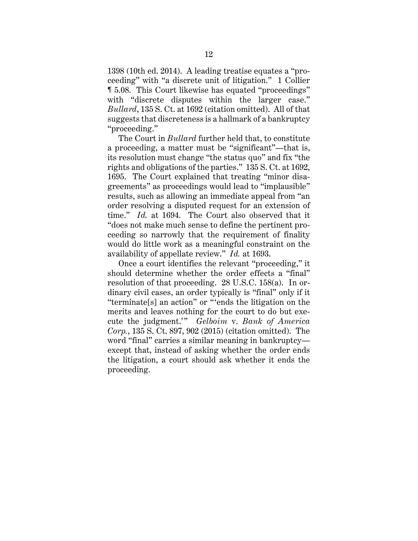1398 (10th ed. 2014). A leading treatise equates a "proceeding" with "a discrete unit of litigation." 1 Collier ¶ 5.08. This Court likewise has equated "proceedings" with "discrete disputes within the larger case." *Bullard*, 135 S. Ct. at 1692 (citation omitted). All of that suggests that discreteness is a hallmark of a bankruptcy "proceeding."

The Court in *Bullard* further held that, to constitute a proceeding, a matter must be "significant"—that is, its resolution must change "the status quo" and fix "the rights and obligations of the parties." 135 S. Ct. at 1692, 1695. The Court explained that treating "minor disagreements" as proceedings would lead to "implausible" results, such as allowing an immediate appeal from "an order resolving a disputed request for an extension of time." *Id.* at 1694. The Court also observed that it "does not make much sense to define the pertinent proceeding so narrowly that the requirement of finality would do little work as a meaningful constraint on the availability of appellate review." *Id.* at 1693.

Once a court identifies the relevant "proceeding," it should determine whether the order effects a "final" resolution of that proceeding. 28 U.S.C. 158(a). In ordinary civil cases, an order typically is "final" only if it "terminate[s] an action" or "'ends the litigation on the merits and leaves nothing for the court to do but execute the judgment.'" *Gelboim v. Bank of America Corp.*, 135 S. Ct. 897, 902 (2015) (citation omitted). The word "final" carries a similar meaning in bankruptcy except that, instead of asking whether the order ends the litigation, a court should ask whether it ends the proceeding.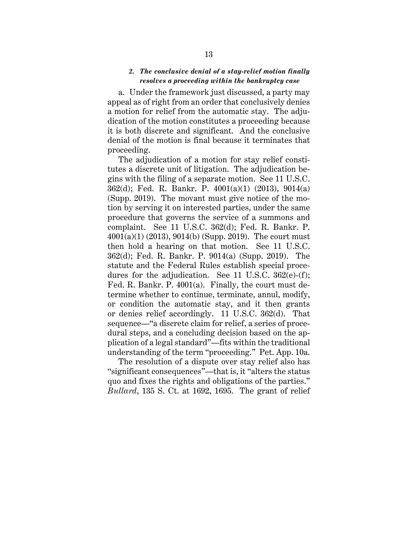## *2. The conclusive denial of a stay-relief motion finally resolves a proceeding within the bankruptcy case*

a. Under the framework just discussed, a party may appeal as of right from an order that conclusively denies a motion for relief from the automatic stay. The adjudication of the motion constitutes a proceeding because it is both discrete and significant. And the conclusive denial of the motion is final because it terminates that proceeding.

The adjudication of a motion for stay relief constitutes a discrete unit of litigation. The adjudication begins with the filing of a separate motion. See 11 U.S.C. 362(d); Fed. R. Bankr. P. 4001(a)(1) (2013), 9014(a) (Supp. 2019). The movant must give notice of the motion by serving it on interested parties, under the same procedure that governs the service of a summons and complaint. See 11 U.S.C. 362(d); Fed. R. Bankr. P. 4001(a)(1) (2013), 9014(b) (Supp. 2019). The court must then hold a hearing on that motion. See 11 U.S.C. 362(d); Fed. R. Bankr. P. 9014(a) (Supp. 2019). The statute and the Federal Rules establish special procedures for the adjudication. See 11 U.S.C. 362(e)-(f); Fed. R. Bankr. P. 4001(a). Finally, the court must determine whether to continue, terminate, annul, modify, or condition the automatic stay, and it then grants or denies relief accordingly. 11 U.S.C. 362(d). That sequence—"a discrete claim for relief, a series of procedural steps, and a concluding decision based on the application of a legal standard"—fits within the traditional understanding of the term "proceeding." Pet. App. 10a.

The resolution of a dispute over stay relief also has "significant consequences"—that is, it "alters the status quo and fixes the rights and obligations of the parties." *Bullard*, 135 S. Ct. at 1692, 1695. The grant of relief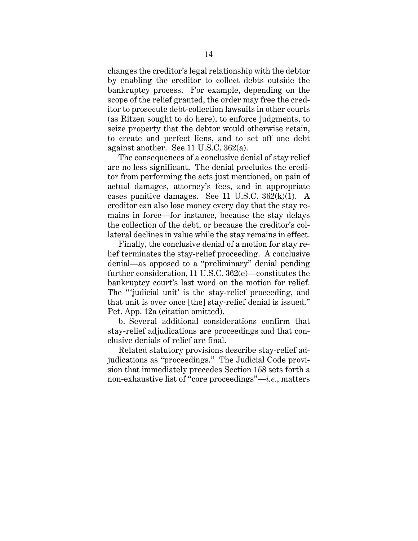changes the creditor's legal relationship with the debtor by enabling the creditor to collect debts outside the bankruptcy process. For example, depending on the scope of the relief granted, the order may free the creditor to prosecute debt-collection lawsuits in other courts (as Ritzen sought to do here), to enforce judgments, to seize property that the debtor would otherwise retain, to create and perfect liens, and to set off one debt against another. See 11 U.S.C. 362(a).

The consequences of a conclusive denial of stay relief are no less significant. The denial precludes the creditor from performing the acts just mentioned, on pain of actual damages, attorney's fees, and in appropriate cases punitive damages. See 11 U.S.C.  $362(k)(1)$ . A creditor can also lose money every day that the stay remains in force—for instance, because the stay delays the collection of the debt, or because the creditor's collateral declines in value while the stay remains in effect.

Finally, the conclusive denial of a motion for stay relief terminates the stay-relief proceeding. A conclusive denial—as opposed to a "preliminary" denial pending further consideration, 11 U.S.C. 362(e)—constitutes the bankruptcy court's last word on the motion for relief. The "judicial unit' is the stay-relief proceeding, and that unit is over once [the] stay-relief denial is issued." Pet. App. 12a (citation omitted).

b. Several additional considerations confirm that stay-relief adjudications are proceedings and that conclusive denials of relief are final.

Related statutory provisions describe stay-relief adjudications as "proceedings." The Judicial Code provision that immediately precedes Section 158 sets forth a non-exhaustive list of "core proceedings"—*i.e.*, matters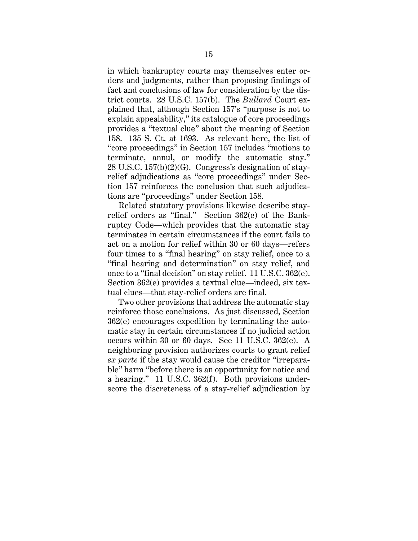in which bankruptcy courts may themselves enter orders and judgments, rather than proposing findings of fact and conclusions of law for consideration by the district courts. 28 U.S.C. 157(b). The *Bullard* Court explained that, although Section 157's "purpose is not to explain appealability," its catalogue of core proceedings provides a "textual clue" about the meaning of Section 158. 135 S. Ct. at 1693. As relevant here, the list of "core proceedings" in Section 157 includes "motions to terminate, annul, or modify the automatic stay." 28 U.S.C. 157(b)(2)(G). Congress's designation of stayrelief adjudications as "core proceedings" under Section 157 reinforces the conclusion that such adjudications are "proceedings" under Section 158.

Related statutory provisions likewise describe stayrelief orders as "final." Section 362(e) of the Bankruptcy Code—which provides that the automatic stay terminates in certain circumstances if the court fails to act on a motion for relief within 30 or 60 days—refers four times to a "final hearing" on stay relief, once to a "final hearing and determination" on stay relief, and once to a "final decision" on stay relief. 11 U.S.C. 362(e). Section 362(e) provides a textual clue—indeed, six textual clues—that stay-relief orders are final.

Two other provisions that address the automatic stay reinforce those conclusions. As just discussed, Section 362(e) encourages expedition by terminating the automatic stay in certain circumstances if no judicial action occurs within 30 or 60 days. See 11 U.S.C. 362(e). A neighboring provision authorizes courts to grant relief *ex parte* if the stay would cause the creditor "irreparable" harm "before there is an opportunity for notice and a hearing." 11 U.S.C. 362(f). Both provisions underscore the discreteness of a stay-relief adjudication by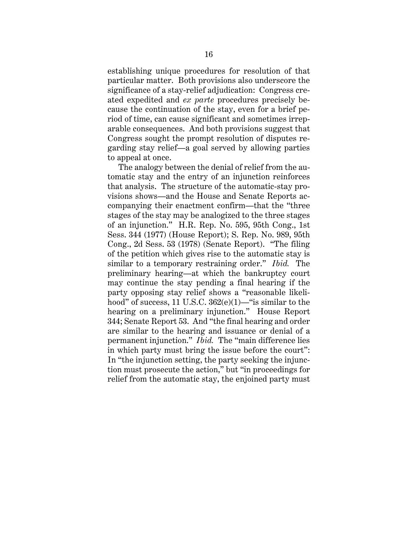establishing unique procedures for resolution of that particular matter. Both provisions also underscore the significance of a stay-relief adjudication: Congress created expedited and *ex parte* procedures precisely because the continuation of the stay, even for a brief period of time, can cause significant and sometimes irreparable consequences. And both provisions suggest that Congress sought the prompt resolution of disputes regarding stay relief—a goal served by allowing parties to appeal at once.

The analogy between the denial of relief from the automatic stay and the entry of an injunction reinforces that analysis. The structure of the automatic-stay provisions shows—and the House and Senate Reports accompanying their enactment confirm—that the "three stages of the stay may be analogized to the three stages of an injunction." H.R. Rep. No. 595, 95th Cong., 1st Sess. 344 (1977) (House Report); S. Rep. No. 989, 95th Cong., 2d Sess. 53 (1978) (Senate Report). "The filing of the petition which gives rise to the automatic stay is similar to a temporary restraining order." *Ibid.* The preliminary hearing—at which the bankruptcy court may continue the stay pending a final hearing if the party opposing stay relief shows a "reasonable likelihood" of success, 11 U.S.C. 362(e)(1)—"is similar to the hearing on a preliminary injunction." House Report 344; Senate Report 53. And "the final hearing and order are similar to the hearing and issuance or denial of a permanent injunction." *Ibid.* The "main difference lies in which party must bring the issue before the court": In "the injunction setting, the party seeking the injunction must prosecute the action," but "in proceedings for relief from the automatic stay, the enjoined party must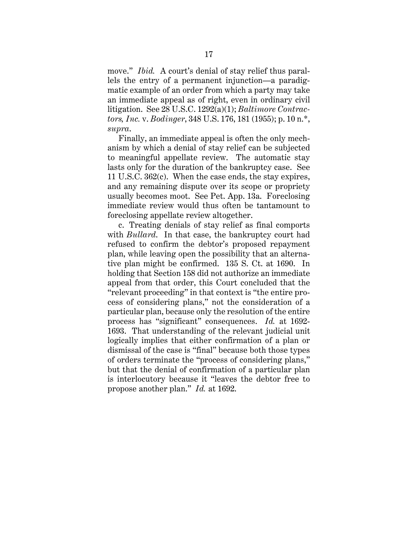move." *Ibid.* A court's denial of stay relief thus parallels the entry of a permanent injunction—a paradigmatic example of an order from which a party may take an immediate appeal as of right, even in ordinary civil litigation. See 28 U.S.C. 1292(a)(1); *Baltimore Contractors, Inc.* v. *Bodinger*, 348 U.S. 176, 181 (1955); p. 10 n.\*, *supra*.

Finally, an immediate appeal is often the only mechanism by which a denial of stay relief can be subjected to meaningful appellate review. The automatic stay lasts only for the duration of the bankruptcy case. See 11 U.S.C. 362(c). When the case ends, the stay expires, and any remaining dispute over its scope or propriety usually becomes moot. See Pet. App. 13a. Foreclosing immediate review would thus often be tantamount to foreclosing appellate review altogether.

c. Treating denials of stay relief as final comports with *Bullard*. In that case, the bankruptcy court had refused to confirm the debtor's proposed repayment plan, while leaving open the possibility that an alternative plan might be confirmed. 135 S. Ct. at 1690. In holding that Section 158 did not authorize an immediate appeal from that order, this Court concluded that the "relevant proceeding" in that context is "the entire process of considering plans," not the consideration of a particular plan, because only the resolution of the entire process has "significant" consequences. *Id.* at 1692- 1693. That understanding of the relevant judicial unit logically implies that either confirmation of a plan or dismissal of the case is "final" because both those types of orders terminate the "process of considering plans," but that the denial of confirmation of a particular plan is interlocutory because it "leaves the debtor free to propose another plan." *Id.* at 1692.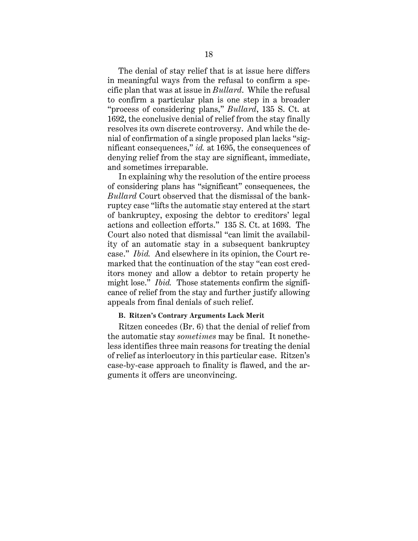The denial of stay relief that is at issue here differs in meaningful ways from the refusal to confirm a specific plan that was at issue in *Bullard*. While the refusal to confirm a particular plan is one step in a broader "process of considering plans," *Bullard*, 135 S. Ct. at 1692, the conclusive denial of relief from the stay finally resolves its own discrete controversy. And while the denial of confirmation of a single proposed plan lacks "significant consequences," *id.* at 1695, the consequences of denying relief from the stay are significant, immediate, and sometimes irreparable.

In explaining why the resolution of the entire process of considering plans has "significant" consequences, the *Bullard* Court observed that the dismissal of the bankruptcy case "lifts the automatic stay entered at the start of bankruptcy, exposing the debtor to creditors' legal actions and collection efforts." 135 S. Ct. at 1693. The Court also noted that dismissal "can limit the availability of an automatic stay in a subsequent bankruptcy case." *Ibid.* And elsewhere in its opinion, the Court remarked that the continuation of the stay "can cost creditors money and allow a debtor to retain property he might lose." *Ibid.* Those statements confirm the significance of relief from the stay and further justify allowing appeals from final denials of such relief.

## **B. Ritzen's Contrary Arguments Lack Merit**

Ritzen concedes (Br. 6) that the denial of relief from the automatic stay *sometimes* may be final. It nonetheless identifies three main reasons for treating the denial of relief as interlocutory in this particular case. Ritzen's case-by-case approach to finality is flawed, and the arguments it offers are unconvincing.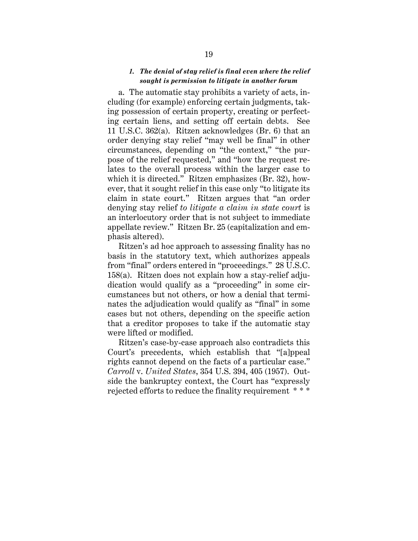# *1. The denial of stay relief is final even where the relief sought is permission to litigate in another forum*

a. The automatic stay prohibits a variety of acts, including (for example) enforcing certain judgments, taking possession of certain property, creating or perfecting certain liens, and setting off certain debts. See 11 U.S.C. 362(a). Ritzen acknowledges (Br. 6) that an order denying stay relief "may well be final" in other circumstances, depending on "the context," "the purpose of the relief requested," and "how the request relates to the overall process within the larger case to which it is directed." Ritzen emphasizes (Br. 32), however, that it sought relief in this case only "to litigate its claim in state court." Ritzen argues that "an order denying stay relief *to litigate a claim in state court* is an interlocutory order that is not subject to immediate appellate review." Ritzen Br. 25 (capitalization and emphasis altered).

Ritzen's ad hoc approach to assessing finality has no basis in the statutory text, which authorizes appeals from "final" orders entered in "proceedings." 28 U.S.C. 158(a). Ritzen does not explain how a stay-relief adjudication would qualify as a "proceeding" in some circumstances but not others, or how a denial that terminates the adjudication would qualify as "final" in some cases but not others, depending on the specific action that a creditor proposes to take if the automatic stay were lifted or modified.

Ritzen's case-by-case approach also contradicts this Court's precedents, which establish that "[a]ppeal rights cannot depend on the facts of a particular case." *Carroll* v. *United States*, 354 U.S. 394, 405 (1957). Outside the bankruptcy context, the Court has "expressly rejected efforts to reduce the finality requirement \* \* \*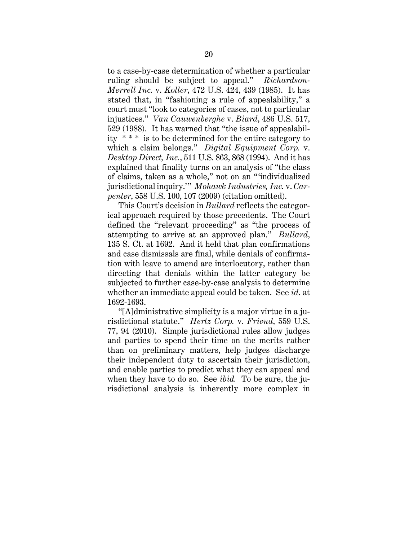to a case-by-case determination of whether a particular ruling should be subject to appeal." *Richardson-Merrell Inc.* v. *Koller*, 472 U.S. 424, 439 (1985). It has stated that, in "fashioning a rule of appealability," a court must "look to categories of cases, not to particular injustices." *Van Cauwenberghe* v. *Biard*, 486 U.S. 517, 529 (1988). It has warned that "the issue of appealability \* \* \* is to be determined for the entire category to which a claim belongs." *Digital Equipment Corp.* v. *Desktop Direct, Inc.*, 511 U.S. 863, 868 (1994). And it has explained that finality turns on an analysis of "the class of claims, taken as a whole," not on an "'individualized jurisdictional inquiry.'" *Mohawk Industries, Inc.* v. *Carpenter*, 558 U.S. 100, 107 (2009) (citation omitted).

This Court's decision in *Bullard* reflects the categorical approach required by those precedents. The Court defined the "relevant proceeding" as "the process of attempting to arrive at an approved plan." *Bullard*, 135 S. Ct. at 1692. And it held that plan confirmations and case dismissals are final, while denials of confirmation with leave to amend are interlocutory, rather than directing that denials within the latter category be subjected to further case-by-case analysis to determine whether an immediate appeal could be taken. See *id*. at 1692-1693.

"[A]dministrative simplicity is a major virtue in a jurisdictional statute." *Hertz Corp.* v. *Friend*, 559 U.S. 77, 94 (2010). Simple jurisdictional rules allow judges and parties to spend their time on the merits rather than on preliminary matters, help judges discharge their independent duty to ascertain their jurisdiction, and enable parties to predict what they can appeal and when they have to do so. See *ibid.* To be sure, the jurisdictional analysis is inherently more complex in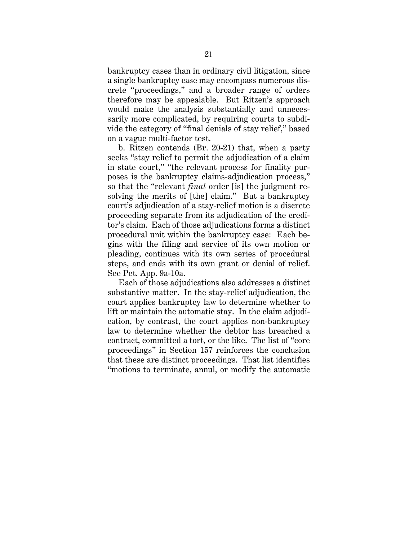bankruptcy cases than in ordinary civil litigation, since a single bankruptcy case may encompass numerous discrete "proceedings," and a broader range of orders therefore may be appealable. But Ritzen's approach would make the analysis substantially and unnecessarily more complicated, by requiring courts to subdivide the category of "final denials of stay relief," based on a vague multi-factor test.

b. Ritzen contends (Br. 20-21) that, when a party seeks "stay relief to permit the adjudication of a claim in state court," "the relevant process for finality purposes is the bankruptcy claims-adjudication process," so that the "relevant *final* order [is] the judgment resolving the merits of [the] claim." But a bankruptcy court's adjudication of a stay-relief motion is a discrete proceeding separate from its adjudication of the creditor's claim. Each of those adjudications forms a distinct procedural unit within the bankruptcy case: Each begins with the filing and service of its own motion or pleading, continues with its own series of procedural steps, and ends with its own grant or denial of relief. See Pet. App. 9a-10a.

Each of those adjudications also addresses a distinct substantive matter. In the stay-relief adjudication, the court applies bankruptcy law to determine whether to lift or maintain the automatic stay. In the claim adjudication, by contrast, the court applies non-bankruptcy law to determine whether the debtor has breached a contract, committed a tort, or the like. The list of "core proceedings" in Section 157 reinforces the conclusion that these are distinct proceedings. That list identifies "motions to terminate, annul, or modify the automatic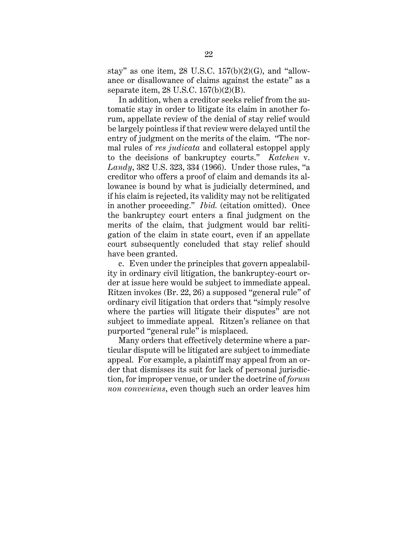stay" as one item, 28 U.S.C.  $157(b)(2)(G)$ , and "allowance or disallowance of claims against the estate" as a separate item, 28 U.S.C. 157(b)(2)(B).

In addition, when a creditor seeks relief from the automatic stay in order to litigate its claim in another forum, appellate review of the denial of stay relief would be largely pointless if that review were delayed until the entry of judgment on the merits of the claim. "The normal rules of *res judicata* and collateral estoppel apply to the decisions of bankruptcy courts." *Katchen* v. *Landy*, 382 U.S. 323, 334 (1966). Under those rules, "a creditor who offers a proof of claim and demands its allowance is bound by what is judicially determined, and if his claim is rejected, its validity may not be relitigated in another proceeding." *Ibid.* (citation omitted). Once the bankruptcy court enters a final judgment on the merits of the claim, that judgment would bar relitigation of the claim in state court, even if an appellate court subsequently concluded that stay relief should have been granted.

c. Even under the principles that govern appealability in ordinary civil litigation, the bankruptcy-court order at issue here would be subject to immediate appeal. Ritzen invokes (Br. 22, 26) a supposed "general rule" of ordinary civil litigation that orders that "simply resolve where the parties will litigate their disputes" are not subject to immediate appeal. Ritzen's reliance on that purported "general rule" is misplaced.

Many orders that effectively determine where a particular dispute will be litigated are subject to immediate appeal. For example, a plaintiff may appeal from an order that dismisses its suit for lack of personal jurisdiction, for improper venue, or under the doctrine of *forum non conveniens*, even though such an order leaves him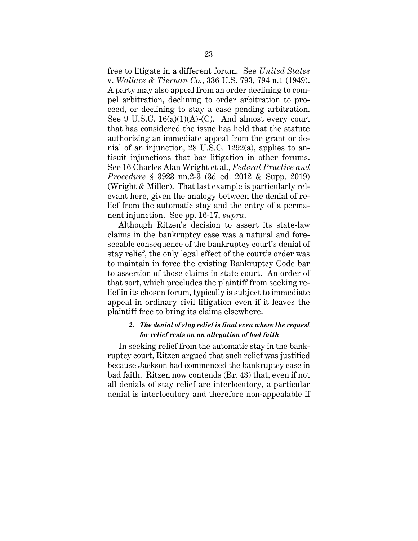free to litigate in a different forum. See *United States*  v. *Wallace & Tiernan Co.*, 336 U.S. 793, 794 n.1 (1949). A party may also appeal from an order declining to compel arbitration, declining to order arbitration to proceed, or declining to stay a case pending arbitration. See 9 U.S.C.  $16(a)(1)(A)-(C)$ . And almost every court that has considered the issue has held that the statute authorizing an immediate appeal from the grant or denial of an injunction, 28 U.S.C. 1292(a), applies to antisuit injunctions that bar litigation in other forums. See 16 Charles Alan Wright et al., *Federal Practice and Procedure* § 3923 nn.2-3 (3d ed. 2012 & Supp. 2019) (Wright & Miller). That last example is particularly relevant here, given the analogy between the denial of relief from the automatic stay and the entry of a permanent injunction. See pp. 16-17, *supra*.

Although Ritzen's decision to assert its state-law claims in the bankruptcy case was a natural and foreseeable consequence of the bankruptcy court's denial of stay relief, the only legal effect of the court's order was to maintain in force the existing Bankruptcy Code bar to assertion of those claims in state court. An order of that sort, which precludes the plaintiff from seeking relief in its chosen forum, typically is subject to immediate appeal in ordinary civil litigation even if it leaves the plaintiff free to bring its claims elsewhere.

# *2. The denial of stay relief is final even where the request for relief rests on an allegation of bad faith*

In seeking relief from the automatic stay in the bankruptcy court, Ritzen argued that such relief was justified because Jackson had commenced the bankruptcy case in bad faith. Ritzen now contends (Br. 43) that, even if not all denials of stay relief are interlocutory, a particular denial is interlocutory and therefore non-appealable if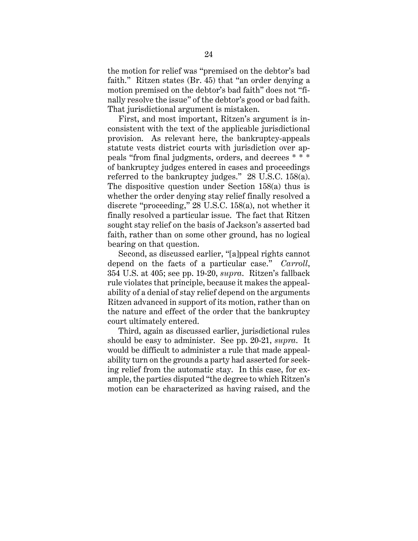the motion for relief was "premised on the debtor's bad faith." Ritzen states (Br. 45) that "an order denying a motion premised on the debtor's bad faith" does not "finally resolve the issue" of the debtor's good or bad faith. That jurisdictional argument is mistaken.

First, and most important, Ritzen's argument is inconsistent with the text of the applicable jurisdictional provision. As relevant here, the bankruptcy-appeals statute vests district courts with jurisdiction over appeals "from final judgments, orders, and decrees \* \* \* of bankruptcy judges entered in cases and proceedings referred to the bankruptcy judges." 28 U.S.C. 158(a). The dispositive question under Section 158(a) thus is whether the order denying stay relief finally resolved a discrete "proceeding," 28 U.S.C. 158(a), not whether it finally resolved a particular issue. The fact that Ritzen sought stay relief on the basis of Jackson's asserted bad faith, rather than on some other ground, has no logical bearing on that question.

Second, as discussed earlier, "[a]ppeal rights cannot depend on the facts of a particular case." *Carroll*, 354 U.S. at 405; see pp. 19-20, *supra*. Ritzen's fallback rule violates that principle, because it makes the appealability of a denial of stay relief depend on the arguments Ritzen advanced in support of its motion, rather than on the nature and effect of the order that the bankruptcy court ultimately entered.

Third, again as discussed earlier, jurisdictional rules should be easy to administer. See pp. 20-21, *supra*. It would be difficult to administer a rule that made appealability turn on the grounds a party had asserted for seeking relief from the automatic stay. In this case, for example, the parties disputed "the degree to which Ritzen's motion can be characterized as having raised, and the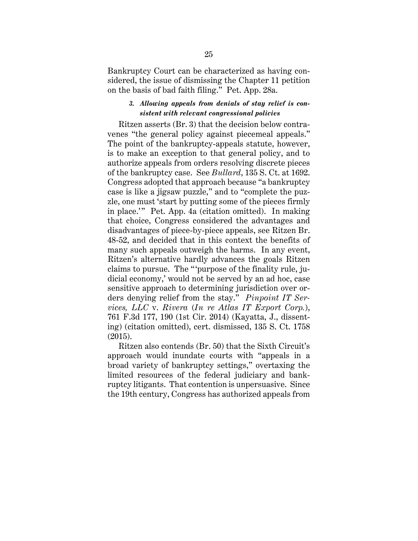Bankruptcy Court can be characterized as having considered, the issue of dismissing the Chapter 11 petition on the basis of bad faith filing." Pet. App. 28a.

# *3. Allowing appeals from denials of stay relief is consistent with relevant congressional policies*

Ritzen asserts (Br. 3) that the decision below contravenes "the general policy against piecemeal appeals." The point of the bankruptcy-appeals statute, however, is to make an exception to that general policy, and to authorize appeals from orders resolving discrete pieces of the bankruptcy case. See *Bullard*, 135 S. Ct. at 1692. Congress adopted that approach because "a bankruptcy case is like a jigsaw puzzle," and to "complete the puzzle, one must 'start by putting some of the pieces firmly in place.'" Pet. App. 4a (citation omitted). In making that choice, Congress considered the advantages and disadvantages of piece-by-piece appeals, see Ritzen Br. 48-52, and decided that in this context the benefits of many such appeals outweigh the harms. In any event, Ritzen's alternative hardly advances the goals Ritzen claims to pursue. The "'purpose of the finality rule, judicial economy,' would not be served by an ad hoc, case sensitive approach to determining jurisdiction over orders denying relief from the stay." *Pinpoint IT Services, LLC* v. *Rivera* (*In re Atlas IT Export Corp.*), 761 F.3d 177, 190 (1st Cir. 2014) (Kayatta, J., dissenting) (citation omitted), cert. dismissed, 135 S. Ct. 1758 (2015).

Ritzen also contends (Br. 50) that the Sixth Circuit's approach would inundate courts with "appeals in a broad variety of bankruptcy settings," overtaxing the limited resources of the federal judiciary and bankruptcy litigants. That contention is unpersuasive. Since the 19th century, Congress has authorized appeals from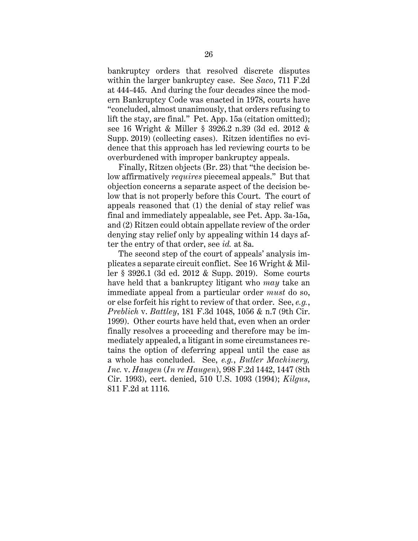bankruptcy orders that resolved discrete disputes within the larger bankruptcy case. See *Saco*, 711 F.2d at 444-445. And during the four decades since the modern Bankruptcy Code was enacted in 1978, courts have "concluded, almost unanimously, that orders refusing to lift the stay, are final." Pet. App. 15a (citation omitted); see 16 Wright & Miller § 3926.2 n.39 (3d ed. 2012 & Supp. 2019) (collecting cases). Ritzen identifies no evidence that this approach has led reviewing courts to be overburdened with improper bankruptcy appeals.

Finally, Ritzen objects (Br. 23) that "the decision below affirmatively *requires* piecemeal appeals." But that objection concerns a separate aspect of the decision below that is not properly before this Court. The court of appeals reasoned that (1) the denial of stay relief was final and immediately appealable, see Pet. App. 3a-15a, and (2) Ritzen could obtain appellate review of the order denying stay relief only by appealing within 14 days after the entry of that order, see *id.* at 8a.

The second step of the court of appeals' analysis implicates a separate circuit conflict. See 16 Wright & Miller § 3926.1 (3d ed. 2012 & Supp. 2019). Some courts have held that a bankruptcy litigant who *may* take an immediate appeal from a particular order *must* do so, or else forfeit his right to review of that order. See, *e.g.*, *Preblich* v. *Battley*, 181 F.3d 1048, 1056 & n.7 (9th Cir. 1999). Other courts have held that, even when an order finally resolves a proceeding and therefore may be immediately appealed, a litigant in some circumstances retains the option of deferring appeal until the case as a whole has concluded. See, *e.g.*, *Butler Machinery, Inc.* v. *Haugen* (*In re Haugen*), 998 F.2d 1442, 1447 (8th Cir. 1993), cert. denied, 510 U.S. 1093 (1994); *Kilgus*, 811 F.2d at 1116.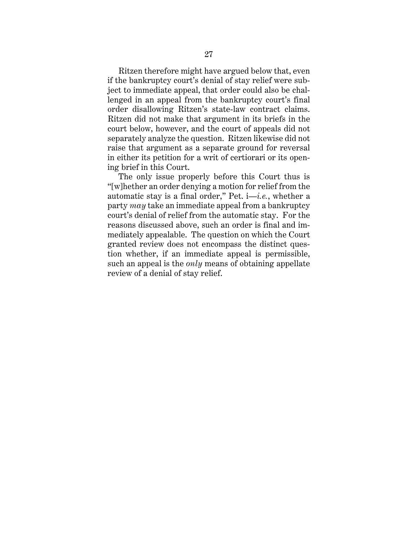Ritzen therefore might have argued below that, even if the bankruptcy court's denial of stay relief were subject to immediate appeal, that order could also be challenged in an appeal from the bankruptcy court's final order disallowing Ritzen's state-law contract claims. Ritzen did not make that argument in its briefs in the court below, however, and the court of appeals did not separately analyze the question. Ritzen likewise did not raise that argument as a separate ground for reversal in either its petition for a writ of certiorari or its opening brief in this Court.

The only issue properly before this Court thus is "[w]hether an order denying a motion for relief from the automatic stay is a final order," Pet. i—*i.e.*, whether a party *may* take an immediate appeal from a bankruptcy court's denial of relief from the automatic stay. For the reasons discussed above, such an order is final and immediately appealable. The question on which the Court granted review does not encompass the distinct question whether, if an immediate appeal is permissible, such an appeal is the *only* means of obtaining appellate review of a denial of stay relief.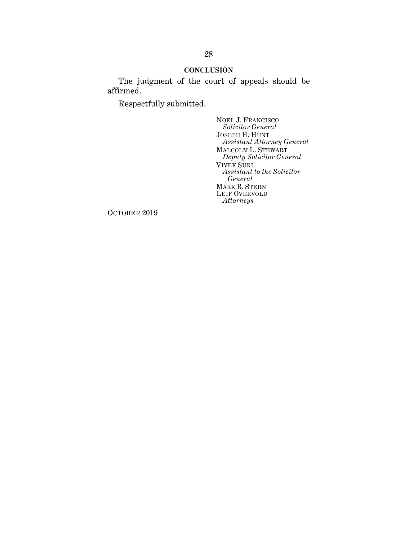# **CONCLUSION**

The judgment of the court of appeals should be affirmed.

Respectfully submitted.

NOEL J. FRANCISCO *Solicitor General* JOSEPH H. HUNT *Assistant Attorney General* MALCOLM L. STEWART *Deputy Solicitor General* VIVEK SURI *Assistant to the Solicitor General* MARK B. STERN LEIF OVERVOLD *Attorneys*

OCTOBER 2019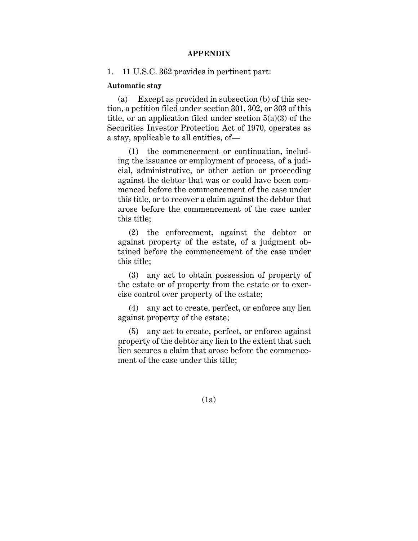## **APPENDIX**

1. 11 U.S.C. 362 provides in pertinent part:

#### **Automatic stay**

(a) Except as provided in subsection (b) of this section, a petition filed under section 301, 302, or 303 of this title, or an application filed under section 5(a)(3) of the Securities Investor Protection Act of 1970, operates as a stay, applicable to all entities, of—

(1) the commencement or continuation, including the issuance or employment of process, of a judicial, administrative, or other action or proceeding against the debtor that was or could have been commenced before the commencement of the case under this title, or to recover a claim against the debtor that arose before the commencement of the case under this title;

(2) the enforcement, against the debtor or against property of the estate, of a judgment obtained before the commencement of the case under this title;

(3) any act to obtain possession of property of the estate or of property from the estate or to exercise control over property of the estate;

(4) any act to create, perfect, or enforce any lien against property of the estate;

(5) any act to create, perfect, or enforce against property of the debtor any lien to the extent that such lien secures a claim that arose before the commencement of the case under this title;

(1a)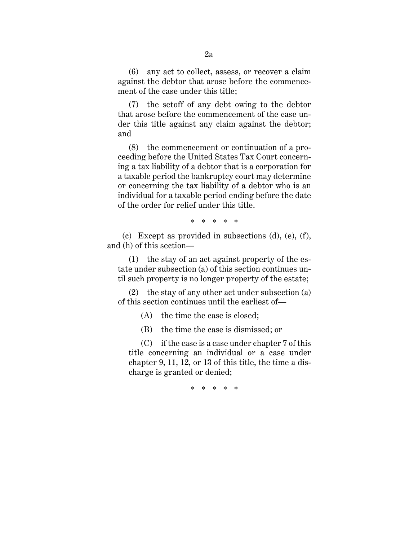(6) any act to collect, assess, or recover a claim against the debtor that arose before the commencement of the case under this title;

(7) the setoff of any debt owing to the debtor that arose before the commencement of the case under this title against any claim against the debtor; and

(8) the commencement or continuation of a proceeding before the United States Tax Court concerning a tax liability of a debtor that is a corporation for a taxable period the bankruptcy court may determine or concerning the tax liability of a debtor who is an individual for a taxable period ending before the date of the order for relief under this title.

\* \* \* \* \*

(c) Except as provided in subsections (d), (e), (f), and (h) of this section—

(1) the stay of an act against property of the estate under subsection (a) of this section continues until such property is no longer property of the estate;

(2) the stay of any other act under subsection (a) of this section continues until the earliest of—

(A) the time the case is closed;

(B) the time the case is dismissed; or

 (C) if the case is a case under chapter 7 of this title concerning an individual or a case under chapter 9, 11, 12, or 13 of this title, the time a discharge is granted or denied;

\* \* \* \* \*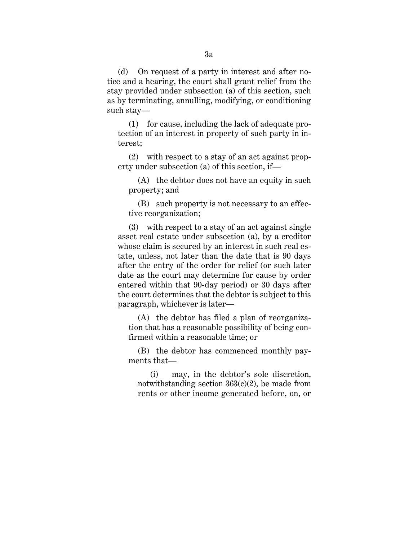(d) On request of a party in interest and after notice and a hearing, the court shall grant relief from the stay provided under subsection (a) of this section, such as by terminating, annulling, modifying, or conditioning such stay—

(1) for cause, including the lack of adequate protection of an interest in property of such party in interest;

(2) with respect to a stay of an act against property under subsection (a) of this section, if—

 (A) the debtor does not have an equity in such property; and

 (B) such property is not necessary to an effective reorganization;

(3) with respect to a stay of an act against single asset real estate under subsection (a), by a creditor whose claim is secured by an interest in such real estate, unless, not later than the date that is 90 days after the entry of the order for relief (or such later date as the court may determine for cause by order entered within that 90-day period) or 30 days after the court determines that the debtor is subject to this paragraph, whichever is later—

 (A) the debtor has filed a plan of reorganization that has a reasonable possibility of being confirmed within a reasonable time; or

 (B) the debtor has commenced monthly payments that—

(i) may, in the debtor's sole discretion, notwithstanding section  $363(c)(2)$ , be made from rents or other income generated before, on, or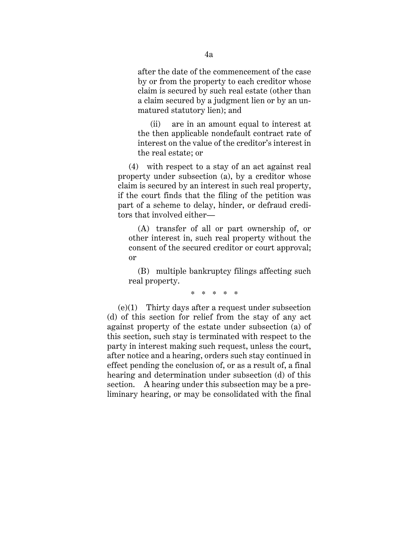after the date of the commencement of the case by or from the property to each creditor whose claim is secured by such real estate (other than a claim secured by a judgment lien or by an unmatured statutory lien); and

(ii) are in an amount equal to interest at the then applicable nondefault contract rate of interest on the value of the creditor's interest in the real estate; or

(4) with respect to a stay of an act against real property under subsection (a), by a creditor whose claim is secured by an interest in such real property, if the court finds that the filing of the petition was part of a scheme to delay, hinder, or defraud creditors that involved either—

 (A) transfer of all or part ownership of, or other interest in, such real property without the consent of the secured creditor or court approval; or

 (B) multiple bankruptcy filings affecting such real property.

\* \* \* \* \*

(e)(1) Thirty days after a request under subsection (d) of this section for relief from the stay of any act against property of the estate under subsection (a) of this section, such stay is terminated with respect to the party in interest making such request, unless the court, after notice and a hearing, orders such stay continued in effect pending the conclusion of, or as a result of, a final hearing and determination under subsection (d) of this section. A hearing under this subsection may be a preliminary hearing, or may be consolidated with the final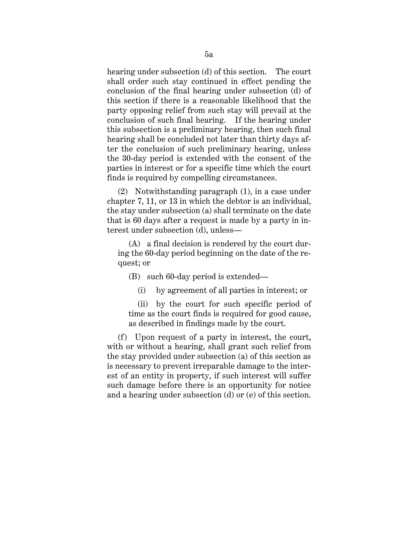hearing under subsection (d) of this section. The court shall order such stay continued in effect pending the conclusion of the final hearing under subsection (d) of this section if there is a reasonable likelihood that the party opposing relief from such stay will prevail at the conclusion of such final hearing. If the hearing under this subsection is a preliminary hearing, then such final hearing shall be concluded not later than thirty days after the conclusion of such preliminary hearing, unless the 30-day period is extended with the consent of the parties in interest or for a specific time which the court finds is required by compelling circumstances.

(2) Notwithstanding paragraph (1), in a case under chapter 7, 11, or 13 in which the debtor is an individual, the stay under subsection (a) shall terminate on the date that is 60 days after a request is made by a party in interest under subsection (d), unless—

(A) a final decision is rendered by the court during the 60-day period beginning on the date of the request; or

(B) such 60-day period is extended—

(i) by agreement of all parties in interest; or

(ii) by the court for such specific period of time as the court finds is required for good cause, as described in findings made by the court.

(f) Upon request of a party in interest, the court, with or without a hearing, shall grant such relief from the stay provided under subsection (a) of this section as is necessary to prevent irreparable damage to the interest of an entity in property, if such interest will suffer such damage before there is an opportunity for notice and a hearing under subsection (d) or (e) of this section.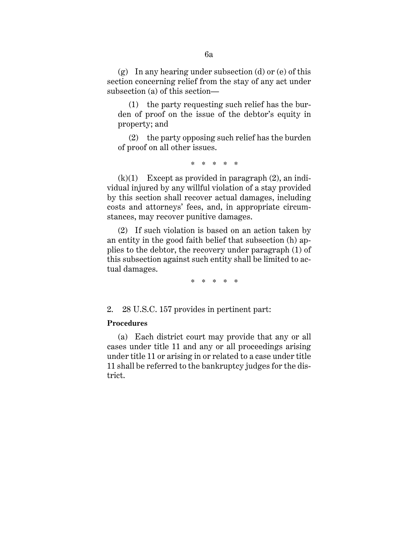(g) In any hearing under subsection (d) or (e) of this section concerning relief from the stay of any act under subsection (a) of this section—

(1) the party requesting such relief has the burden of proof on the issue of the debtor's equity in property; and

(2) the party opposing such relief has the burden of proof on all other issues.

\* \* \* \* \*

 $(k)(1)$  Except as provided in paragraph  $(2)$ , an individual injured by any willful violation of a stay provided by this section shall recover actual damages, including costs and attorneys' fees, and, in appropriate circumstances, may recover punitive damages.

(2) If such violation is based on an action taken by an entity in the good faith belief that subsection (h) applies to the debtor, the recovery under paragraph (1) of this subsection against such entity shall be limited to actual damages.

\* \* \* \* \*

2. 28 U.S.C. 157 provides in pertinent part:

# **Procedures**

(a) Each district court may provide that any or all cases under title 11 and any or all proceedings arising under title 11 or arising in or related to a case under title 11 shall be referred to the bankruptcy judges for the district.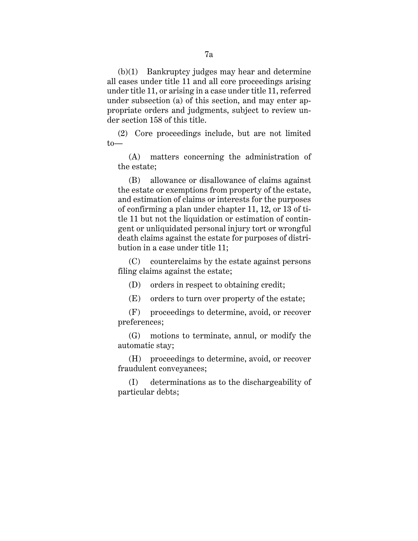(b)(1) Bankruptcy judges may hear and determine all cases under title 11 and all core proceedings arising under title 11, or arising in a case under title 11, referred under subsection (a) of this section, and may enter appropriate orders and judgments, subject to review under section 158 of this title.

(2) Core proceedings include, but are not limited to—

(A) matters concerning the administration of the estate;

(B) allowance or disallowance of claims against the estate or exemptions from property of the estate, and estimation of claims or interests for the purposes of confirming a plan under chapter 11, 12, or 13 of title 11 but not the liquidation or estimation of contingent or unliquidated personal injury tort or wrongful death claims against the estate for purposes of distribution in a case under title 11;

(C) counterclaims by the estate against persons filing claims against the estate;

(D) orders in respect to obtaining credit;

(E) orders to turn over property of the estate;

(F) proceedings to determine, avoid, or recover preferences;

(G) motions to terminate, annul, or modify the automatic stay;

(H) proceedings to determine, avoid, or recover fraudulent conveyances;

(I) determinations as to the dischargeability of particular debts;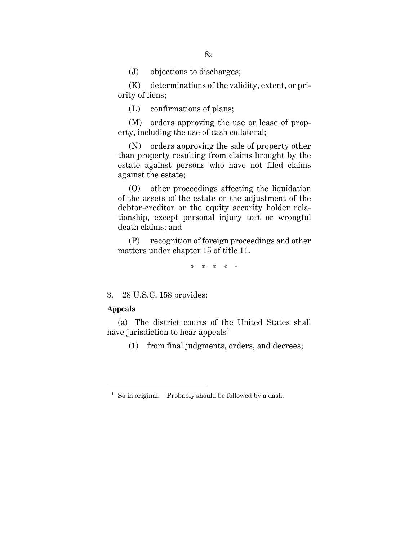(J) objections to discharges;

(K) determinations of the validity, extent, or priority of liens;

(L) confirmations of plans;

(M) orders approving the use or lease of property, including the use of cash collateral;

(N) orders approving the sale of property other than property resulting from claims brought by the estate against persons who have not filed claims against the estate;

(O) other proceedings affecting the liquidation of the assets of the estate or the adjustment of the debtor-creditor or the equity security holder relationship, except personal injury tort or wrongful death claims; and

(P) recognition of foreign proceedings and other matters under chapter 15 of title 11.

\* \* \* \* \*

3. 28 U.S.C. 158 provides:

# **Appeals**

<u>.</u>

(a) The district courts of the United States shall have jurisdiction to hear appeals<sup>1</sup>

(1) from final judgments, orders, and decrees;

<sup>&</sup>lt;sup>1</sup> So in original. Probably should be followed by a dash.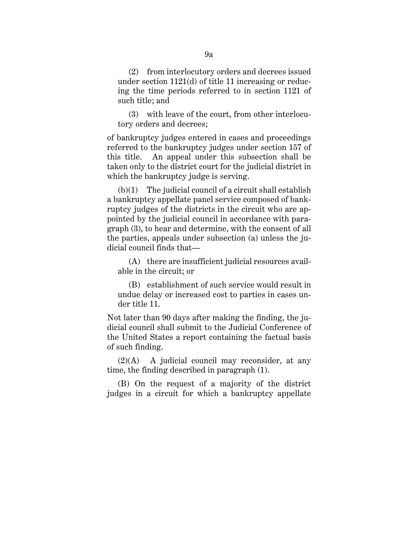(2) from interlocutory orders and decrees issued under section 1121(d) of title 11 increasing or reducing the time periods referred to in section 1121 of such title; and

(3) with leave of the court, from other interlocutory orders and decrees;

of bankruptcy judges entered in cases and proceedings referred to the bankruptcy judges under section 157 of this title. An appeal under this subsection shall be taken only to the district court for the judicial district in which the bankruptcy judge is serving.

(b)(1) The judicial council of a circuit shall establish a bankruptcy appellate panel service composed of bankruptcy judges of the districts in the circuit who are appointed by the judicial council in accordance with paragraph (3), to hear and determine, with the consent of all the parties, appeals under subsection (a) unless the judicial council finds that—

(A) there are insufficient judicial resources available in the circuit; or

(B) establishment of such service would result in undue delay or increased cost to parties in cases under title 11.

Not later than 90 days after making the finding, the judicial council shall submit to the Judicial Conference of the United States a report containing the factual basis of such finding.

(2)(A) A judicial council may reconsider, at any time, the finding described in paragraph (1).

(B) On the request of a majority of the district judges in a circuit for which a bankruptcy appellate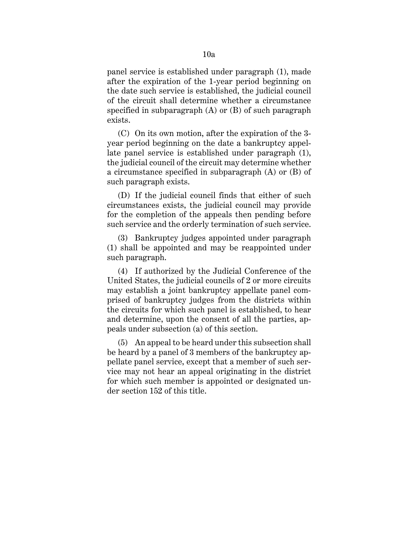panel service is established under paragraph (1), made after the expiration of the 1-year period beginning on the date such service is established, the judicial council of the circuit shall determine whether a circumstance specified in subparagraph (A) or (B) of such paragraph exists.

(C) On its own motion, after the expiration of the 3 year period beginning on the date a bankruptcy appellate panel service is established under paragraph (1), the judicial council of the circuit may determine whether a circumstance specified in subparagraph (A) or (B) of such paragraph exists.

(D) If the judicial council finds that either of such circumstances exists, the judicial council may provide for the completion of the appeals then pending before such service and the orderly termination of such service.

(3) Bankruptcy judges appointed under paragraph (1) shall be appointed and may be reappointed under such paragraph.

(4) If authorized by the Judicial Conference of the United States, the judicial councils of 2 or more circuits may establish a joint bankruptcy appellate panel comprised of bankruptcy judges from the districts within the circuits for which such panel is established, to hear and determine, upon the consent of all the parties, appeals under subsection (a) of this section.

(5) An appeal to be heard under this subsection shall be heard by a panel of 3 members of the bankruptcy appellate panel service, except that a member of such service may not hear an appeal originating in the district for which such member is appointed or designated under section 152 of this title.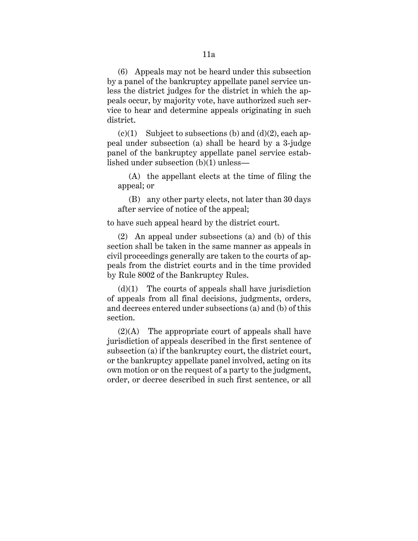(6) Appeals may not be heard under this subsection by a panel of the bankruptcy appellate panel service unless the district judges for the district in which the appeals occur, by majority vote, have authorized such service to hear and determine appeals originating in such district.

 $(c)(1)$  Subject to subsections (b) and  $(d)(2)$ , each appeal under subsection (a) shall be heard by a 3-judge panel of the bankruptcy appellate panel service established under subsection (b)(1) unless—

(A) the appellant elects at the time of filing the appeal; or

(B) any other party elects, not later than 30 days after service of notice of the appeal;

to have such appeal heard by the district court.

(2) An appeal under subsections (a) and (b) of this section shall be taken in the same manner as appeals in civil proceedings generally are taken to the courts of appeals from the district courts and in the time provided by Rule 8002 of the Bankruptcy Rules.

 $(d)(1)$  The courts of appeals shall have jurisdiction of appeals from all final decisions, judgments, orders, and decrees entered under subsections (a) and (b) of this section.

 $(2)(A)$  The appropriate court of appeals shall have jurisdiction of appeals described in the first sentence of subsection (a) if the bankruptcy court, the district court, or the bankruptcy appellate panel involved, acting on its own motion or on the request of a party to the judgment, order, or decree described in such first sentence, or all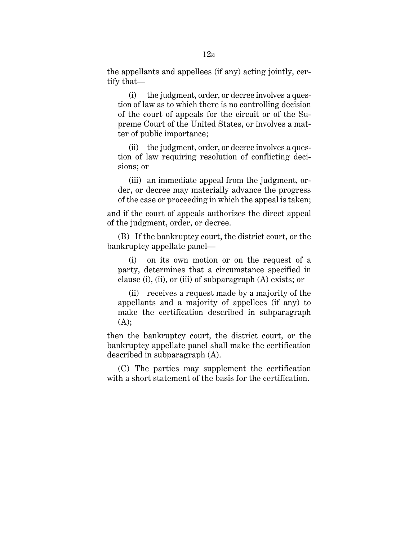the appellants and appellees (if any) acting jointly, certify that—

(i) the judgment, order, or decree involves a question of law as to which there is no controlling decision of the court of appeals for the circuit or of the Supreme Court of the United States, or involves a matter of public importance;

(ii) the judgment, order, or decree involves a question of law requiring resolution of conflicting decisions; or

(iii) an immediate appeal from the judgment, order, or decree may materially advance the progress of the case or proceeding in which the appeal is taken;

and if the court of appeals authorizes the direct appeal of the judgment, order, or decree.

(B) If the bankruptcy court, the district court, or the bankruptcy appellate panel—

(i) on its own motion or on the request of a party, determines that a circumstance specified in clause (i), (ii), or (iii) of subparagraph (A) exists; or

(ii) receives a request made by a majority of the appellants and a majority of appellees (if any) to make the certification described in subparagraph  $(A);$ 

then the bankruptcy court, the district court, or the bankruptcy appellate panel shall make the certification described in subparagraph (A).

(C) The parties may supplement the certification with a short statement of the basis for the certification.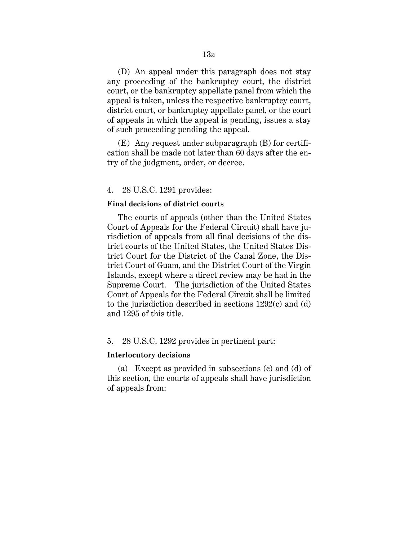(D) An appeal under this paragraph does not stay any proceeding of the bankruptcy court, the district court, or the bankruptcy appellate panel from which the appeal is taken, unless the respective bankruptcy court, district court, or bankruptcy appellate panel, or the court of appeals in which the appeal is pending, issues a stay of such proceeding pending the appeal.

(E) Any request under subparagraph (B) for certification shall be made not later than 60 days after the entry of the judgment, order, or decree.

#### 4. 28 U.S.C. 1291 provides:

#### **Final decisions of district courts**

The courts of appeals (other than the United States Court of Appeals for the Federal Circuit) shall have jurisdiction of appeals from all final decisions of the district courts of the United States, the United States District Court for the District of the Canal Zone, the District Court of Guam, and the District Court of the Virgin Islands, except where a direct review may be had in the Supreme Court. The jurisdiction of the United States Court of Appeals for the Federal Circuit shall be limited to the jurisdiction described in sections 1292(c) and (d) and 1295 of this title.

#### 5. 28 U.S.C. 1292 provides in pertinent part:

#### **Interlocutory decisions**

(a) Except as provided in subsections (c) and (d) of this section, the courts of appeals shall have jurisdiction of appeals from: